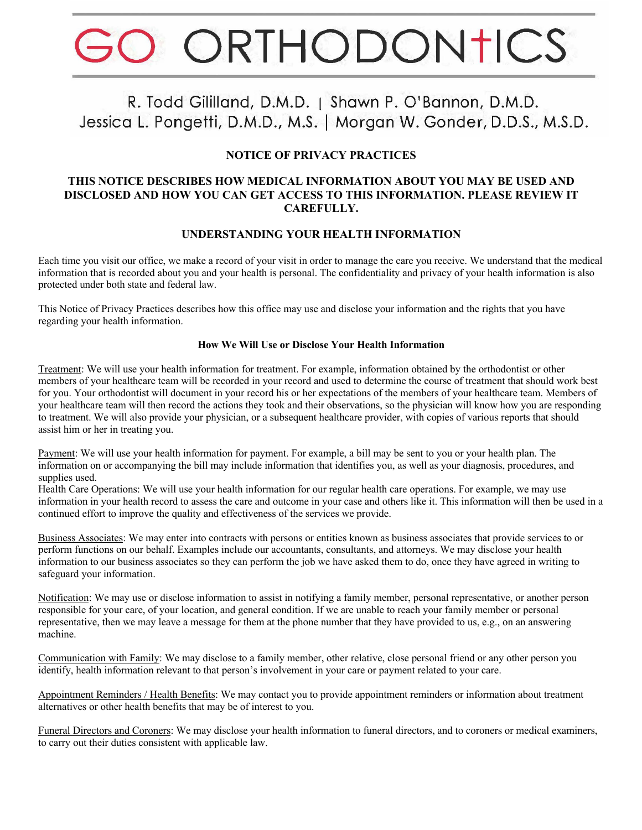# ORTHODONTICS

# R. Todd Gililland, D.M.D. | Shawn P. O'Bannon, D.M.D. Jessica L. Pongetti, D.M.D., M.S. | Morgan W. Gonder, D.D.S., M.S.D.

## **NOTICE OF PRIVACY PRACTICES**

#### **THIS NOTICE DESCRIBES HOW MEDICAL INFORMATION ABOUT YOU MAY BE USED AND DISCLOSED AND HOW YOU CAN GET ACCESS TO THIS INFORMATION. PLEASE REVIEW IT CAREFULLY.**

### **UNDERSTANDING YOUR HEALTH INFORMATION**

Each time you visit our office, we make a record of your visit in order to manage the care you receive. We understand that the medical information that is recorded about you and your health is personal. The confidentiality and privacy of your health information is also protected under both state and federal law.

This Notice of Privacy Practices describes how this office may use and disclose your information and the rights that you have regarding your health information.

#### **How We Will Use or Disclose Your Health Information**

Treatment: We will use your health information for treatment. For example, information obtained by the orthodontist or other members of your healthcare team will be recorded in your record and used to determine the course of treatment that should work best for you. Your orthodontist will document in your record his or her expectations of the members of your healthcare team. Members of your healthcare team will then record the actions they took and their observations, so the physician will know how you are responding to treatment. We will also provide your physician, or a subsequent healthcare provider, with copies of various reports that should assist him or her in treating you.

Payment: We will use your health information for payment. For example, a bill may be sent to you or your health plan. The information on or accompanying the bill may include information that identifies you, as well as your diagnosis, procedures, and supplies used.

Health Care Operations: We will use your health information for our regular health care operations. For example, we may use information in your health record to assess the care and outcome in your case and others like it. This information will then be used in a continued effort to improve the quality and effectiveness of the services we provide.

Business Associates: We may enter into contracts with persons or entities known as business associates that provide services to or perform functions on our behalf. Examples include our accountants, consultants, and attorneys. We may disclose your health information to our business associates so they can perform the job we have asked them to do, once they have agreed in writing to safeguard your information.

Notification: We may use or disclose information to assist in notifying a family member, personal representative, or another person responsible for your care, of your location, and general condition. If we are unable to reach your family member or personal representative, then we may leave a message for them at the phone number that they have provided to us, e.g., on an answering machine.

Communication with Family: We may disclose to a family member, other relative, close personal friend or any other person you identify, health information relevant to that person's involvement in your care or payment related to your care.

Appointment Reminders / Health Benefits: We may contact you to provide appointment reminders or information about treatment alternatives or other health benefits that may be of interest to you.

Funeral Directors and Coroners: We may disclose your health information to funeral directors, and to coroners or medical examiners, to carry out their duties consistent with applicable law.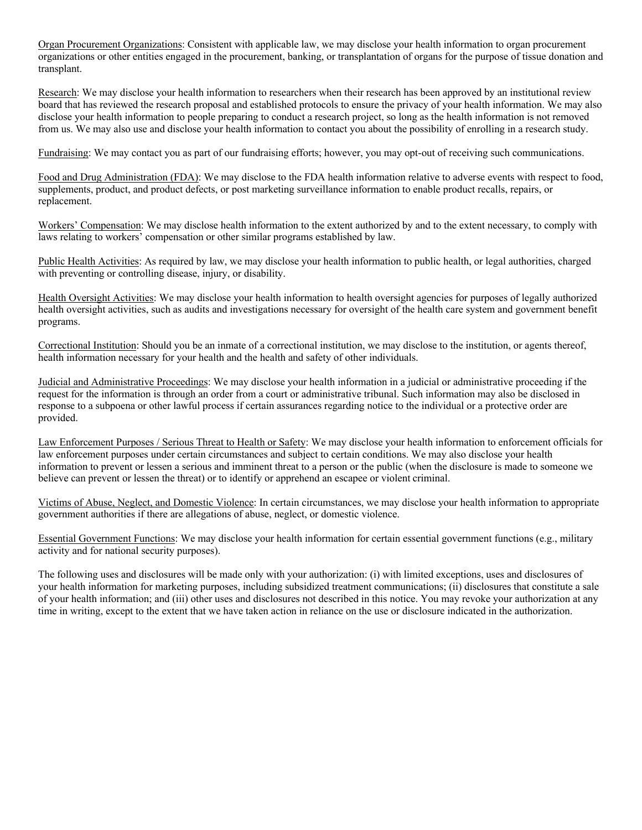Organ Procurement Organizations: Consistent with applicable law, we may disclose your health information to organ procurement organizations or other entities engaged in the procurement, banking, or transplantation of organs for the purpose of tissue donation and transplant.

Research: We may disclose your health information to researchers when their research has been approved by an institutional review board that has reviewed the research proposal and established protocols to ensure the privacy of your health information. We may also disclose your health information to people preparing to conduct a research project, so long as the health information is not removed from us. We may also use and disclose your health information to contact you about the possibility of enrolling in a research study.

Fundraising: We may contact you as part of our fundraising efforts; however, you may opt-out of receiving such communications.

Food and Drug Administration (FDA): We may disclose to the FDA health information relative to adverse events with respect to food, supplements, product, and product defects, or post marketing surveillance information to enable product recalls, repairs, or replacement.

Workers' Compensation: We may disclose health information to the extent authorized by and to the extent necessary, to comply with laws relating to workers' compensation or other similar programs established by law.

Public Health Activities: As required by law, we may disclose your health information to public health, or legal authorities, charged with preventing or controlling disease, injury, or disability.

Health Oversight Activities: We may disclose your health information to health oversight agencies for purposes of legally authorized health oversight activities, such as audits and investigations necessary for oversight of the health care system and government benefit programs.

Correctional Institution: Should you be an inmate of a correctional institution, we may disclose to the institution, or agents thereof, health information necessary for your health and the health and safety of other individuals.

Judicial and Administrative Proceedings: We may disclose your health information in a judicial or administrative proceeding if the request for the information is through an order from a court or administrative tribunal. Such information may also be disclosed in response to a subpoena or other lawful process if certain assurances regarding notice to the individual or a protective order are provided.

Law Enforcement Purposes / Serious Threat to Health or Safety: We may disclose your health information to enforcement officials for law enforcement purposes under certain circumstances and subject to certain conditions. We may also disclose your health information to prevent or lessen a serious and imminent threat to a person or the public (when the disclosure is made to someone we believe can prevent or lessen the threat) or to identify or apprehend an escapee or violent criminal.

Victims of Abuse, Neglect, and Domestic Violence: In certain circumstances, we may disclose your health information to appropriate government authorities if there are allegations of abuse, neglect, or domestic violence.

Essential Government Functions: We may disclose your health information for certain essential government functions (e.g., military activity and for national security purposes).

The following uses and disclosures will be made only with your authorization: (i) with limited exceptions, uses and disclosures of your health information for marketing purposes, including subsidized treatment communications; (ii) disclosures that constitute a sale of your health information; and (iii) other uses and disclosures not described in this notice. You may revoke your authorization at any time in writing, except to the extent that we have taken action in reliance on the use or disclosure indicated in the authorization.